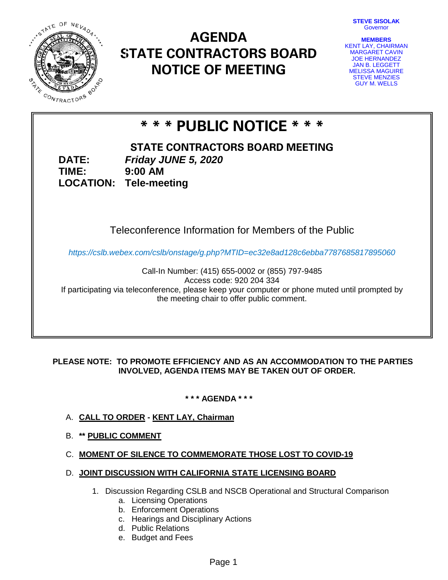**STEVE SISOLAK** Governor



# **AGENDA STATE CONTRACTORS BOARD NOTICE OF MEETING**

| <b>MEMBERS</b>         |  |
|------------------------|--|
| KENT LAY, CHAIRMAN     |  |
| <b>MARGARET CAVIN</b>  |  |
| <b>JOE HERNANDEZ</b>   |  |
| <b>JAN B. LEGGETT</b>  |  |
| <b>MELISSA MAGUIRE</b> |  |
| <b>STEVE MENZIES</b>   |  |
| <b>GUY M. WELLS</b>    |  |

# **\* \* \* PUBLIC NOTICE \* \* \***

**TIME:**

**STATE CONTRACTORS BOARD MEETING DATE:** *Friday JUNE 5, 2020* **LOCATION: Tele-meeting 9:00 AM**

# Teleconference Information for Members of the Public

*https://cslb.webex.com/cslb/onstage/g.php?MTID=ec32e8ad128c6ebba7787685817895060*

Call-In Number: (415) 655-0002 or (855) 797-9485 Access code: 920 204 334 If participating via teleconference, please keep your computer or phone muted until prompted by the meeting chair to offer public comment.

### **PLEASE NOTE: TO PROMOTE EFFICIENCY AND AS AN ACCOMMODATION TO THE PARTIES INVOLVED, AGENDA ITEMS MAY BE TAKEN OUT OF ORDER.**

**\* \* \* AGENDA \* \* \***

- A. **CALL TO ORDER - KENT LAY, Chairman**
- B. **\*\* PUBLIC COMMENT**

## C. **MOMENT OF SILENCE TO COMMEMORATE THOSE LOST TO COVID-19**

- D. **JOINT DISCUSSION WITH CALIFORNIA STATE LICENSING BOARD**
	- 1. Discussion Regarding CSLB and NSCB Operational and Structural Comparison
		- a. Licensing Operations
		- b. Enforcement Operations
		- c. Hearings and Disciplinary Actions
		- d. Public Relations
		- e. Budget and Fees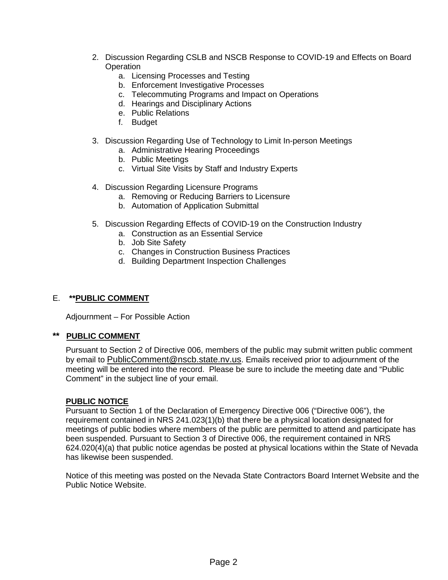- 2. Discussion Regarding CSLB and NSCB Response to COVID-19 and Effects on Board **Operation** 
	- a. Licensing Processes and Testing
	- b. Enforcement Investigative Processes
	- c. Telecommuting Programs and Impact on Operations
	- d. Hearings and Disciplinary Actions
	- e. Public Relations
	- f. Budget
- 3. Discussion Regarding Use of Technology to Limit In-person Meetings
	- a. Administrative Hearing Proceedings
	- b. Public Meetings
	- c. Virtual Site Visits by Staff and Industry Experts
- 4. Discussion Regarding Licensure Programs
	- a. Removing or Reducing Barriers to Licensure
	- b. Automation of Application Submittal
- 5. Discussion Regarding Effects of COVID-19 on the Construction Industry
	- a. Construction as an Essential Service
	- b. Job Site Safety
	- c. Changes in Construction Business Practices
	- d. Building Department Inspection Challenges

#### E. **\*\*PUBLIC COMMENT**

Adjournment – For Possible Action

#### **\*\* PUBLIC COMMENT**

Pursuant to Section 2 of Directive 006, members of the public may submit written public comment by email to [PublicComment@nscb.state.nv.us.](mailto:PublicComment@nscb.state.nv.us) Emails received prior to adjournment of the meeting will be entered into the record. Please be sure to include the meeting date and "Public Comment" in the subject line of your email.

#### **PUBLIC NOTICE**

Pursuant to Section 1 of the Declaration of Emergency Directive 006 ("Directive 006"), the requirement contained in NRS 241.023(1)(b) that there be a physical location designated for meetings of public bodies where members of the public are permitted to attend and participate has been suspended. Pursuant to Section 3 of Directive 006, the requirement contained in NRS 624.020(4)(a) that public notice agendas be posted at physical locations within the State of Nevada has likewise been suspended.

Notice of this meeting was posted on the Nevada State Contractors Board Internet Website and the Public Notice Website.